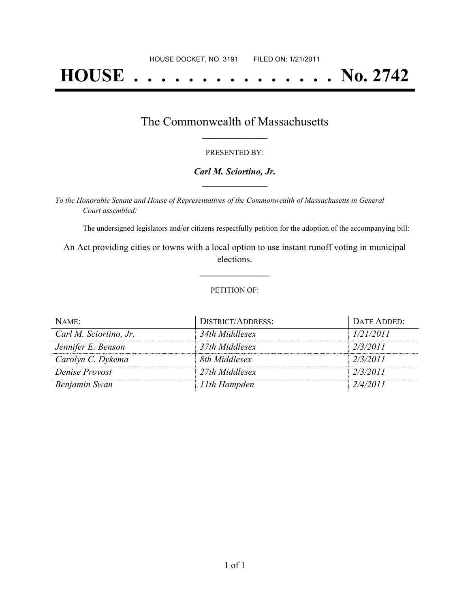# **HOUSE . . . . . . . . . . . . . . . No. 2742**

### The Commonwealth of Massachusetts **\_\_\_\_\_\_\_\_\_\_\_\_\_\_\_\_\_**

#### PRESENTED BY:

#### *Carl M. Sciortino, Jr.* **\_\_\_\_\_\_\_\_\_\_\_\_\_\_\_\_\_**

*To the Honorable Senate and House of Representatives of the Commonwealth of Massachusetts in General Court assembled:*

The undersigned legislators and/or citizens respectfully petition for the adoption of the accompanying bill:

An Act providing cities or towns with a local option to use instant runoff voting in municipal elections.

**\_\_\_\_\_\_\_\_\_\_\_\_\_\_\_**

#### PETITION OF:

| NAME:                  | DISTRICT/ADDRESS: | DATE ADDED: |
|------------------------|-------------------|-------------|
| Carl M. Sciortino, Jr. | 34th Middlesex    | 1/21/2011   |
| Jennifer E. Benson     | 37th Middlesex    | 2/3/2011    |
| Carolyn C. Dykema      | 8th Middlesex     | 2/3/2011    |
| Denise Provost         | 27th Middlesex    | 2/3/2011    |
| Benjamin Swan          | 11th Hampden      | 2/4/2011    |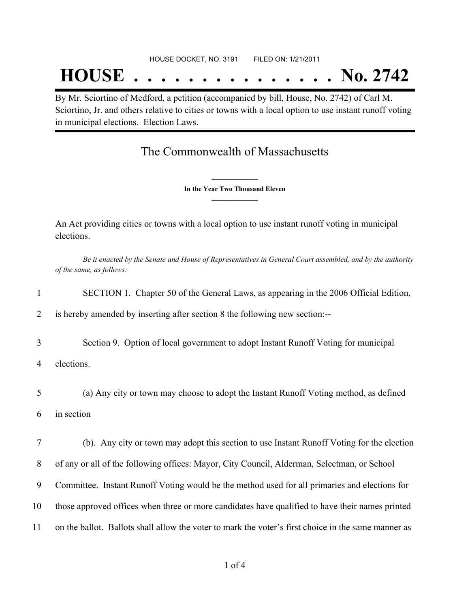## **HOUSE . . . . . . . . . . . . . . . No. 2742**

By Mr. Sciortino of Medford, a petition (accompanied by bill, House, No. 2742) of Carl M. Sciortino, Jr. and others relative to cities or towns with a local option to use instant runoff voting in municipal elections. Election Laws.

## The Commonwealth of Massachusetts

**\_\_\_\_\_\_\_\_\_\_\_\_\_\_\_ In the Year Two Thousand Eleven \_\_\_\_\_\_\_\_\_\_\_\_\_\_\_**

An Act providing cities or towns with a local option to use instant runoff voting in municipal elections.

Be it enacted by the Senate and House of Representatives in General Court assembled, and by the authority *of the same, as follows:*

| 1  | SECTION 1. Chapter 50 of the General Laws, as appearing in the 2006 Official Edition,               |
|----|-----------------------------------------------------------------------------------------------------|
| 2  | is hereby amended by inserting after section 8 the following new section:--                         |
| 3  | Section 9. Option of local government to adopt Instant Runoff Voting for municipal                  |
| 4  | elections.                                                                                          |
| 5  | (a) Any city or town may choose to adopt the Instant Runoff Voting method, as defined               |
| 6  | in section                                                                                          |
| 7  | (b). Any city or town may adopt this section to use Instant Runoff Voting for the election          |
| 8  | of any or all of the following offices: Mayor, City Council, Alderman, Selectman, or School         |
| 9  | Committee. Instant Runoff Voting would be the method used for all primaries and elections for       |
| 10 | those approved offices when three or more candidates have qualified to have their names printed     |
| 11 | on the ballot. Ballots shall allow the voter to mark the voter's first choice in the same manner as |
|    |                                                                                                     |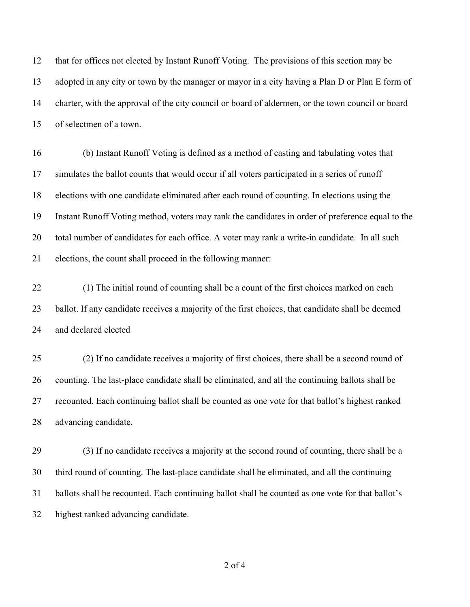that for offices not elected by Instant Runoff Voting. The provisions of this section may be adopted in any city or town by the manager or mayor in a city having a Plan D or Plan E form of charter, with the approval of the city council or board of aldermen, or the town council or board of selectmen of a town.

 (b) Instant Runoff Voting is defined as a method of casting and tabulating votes that simulates the ballot counts that would occur if all voters participated in a series of runoff elections with one candidate eliminated after each round of counting. In elections using the Instant Runoff Voting method, voters may rank the candidates in order of preference equal to the total number of candidates for each office. A voter may rank a write-in candidate. In all such elections, the count shall proceed in the following manner:

 (1) The initial round of counting shall be a count of the first choices marked on each ballot. If any candidate receives a majority of the first choices, that candidate shall be deemed and declared elected

 (2) If no candidate receives a majority of first choices, there shall be a second round of counting. The last-place candidate shall be eliminated, and all the continuing ballots shall be recounted. Each continuing ballot shall be counted as one vote for that ballot's highest ranked advancing candidate.

 (3) If no candidate receives a majority at the second round of counting, there shall be a third round of counting. The last-place candidate shall be eliminated, and all the continuing ballots shall be recounted. Each continuing ballot shall be counted as one vote for that ballot's highest ranked advancing candidate.

of 4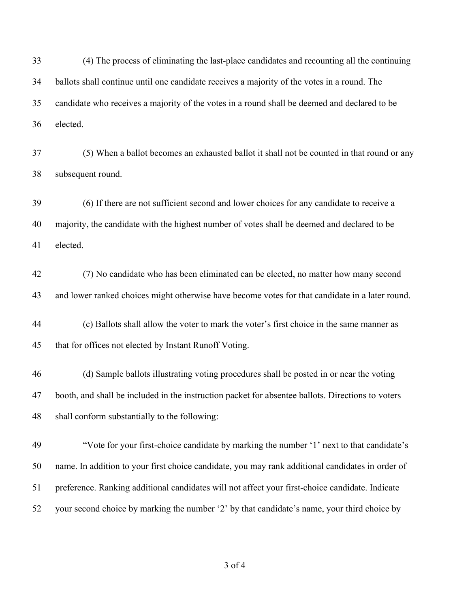(4) The process of eliminating the last-place candidates and recounting all the continuing ballots shall continue until one candidate receives a majority of the votes in a round. The candidate who receives a majority of the votes in a round shall be deemed and declared to be elected.

 (5) When a ballot becomes an exhausted ballot it shall not be counted in that round or any subsequent round.

 (6) If there are not sufficient second and lower choices for any candidate to receive a majority, the candidate with the highest number of votes shall be deemed and declared to be elected.

 (7) No candidate who has been eliminated can be elected, no matter how many second and lower ranked choices might otherwise have become votes for that candidate in a later round.

 (c) Ballots shall allow the voter to mark the voter's first choice in the same manner as that for offices not elected by Instant Runoff Voting.

 (d) Sample ballots illustrating voting procedures shall be posted in or near the voting booth, and shall be included in the instruction packet for absentee ballots. Directions to voters shall conform substantially to the following:

 "Vote for your first-choice candidate by marking the number '1' next to that candidate's name. In addition to your first choice candidate, you may rank additional candidates in order of preference. Ranking additional candidates will not affect your first-choice candidate. Indicate your second choice by marking the number '2' by that candidate's name, your third choice by

of 4